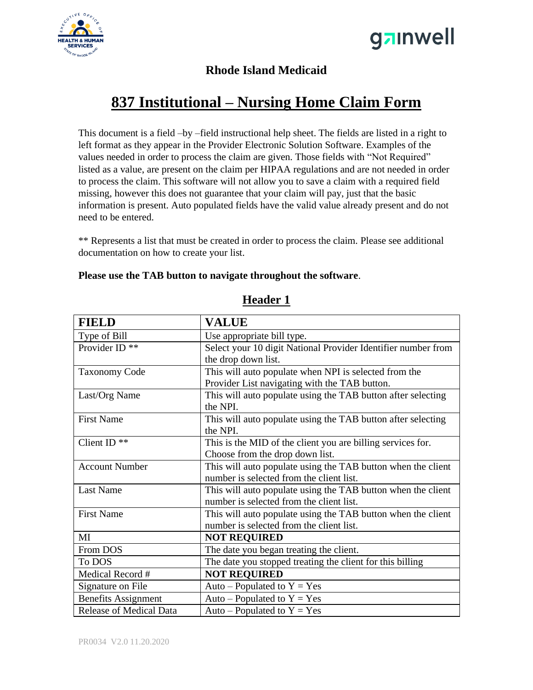



### **Rhode Island Medicaid**

# **837 Institutional – Nursing Home Claim Form**

This document is a field –by –field instructional help sheet. The fields are listed in a right to left format as they appear in the Provider Electronic Solution Software. Examples of the values needed in order to process the claim are given. Those fields with "Not Required" listed as a value, are present on the claim per HIPAA regulations and are not needed in order to process the claim. This software will not allow you to save a claim with a required field missing, however this does not guarantee that your claim will pay, just that the basic information is present. Auto populated fields have the valid value already present and do not need to be entered.

\*\* Represents a list that must be created in order to process the claim. Please see additional documentation on how to create your list.

#### **Please use the TAB button to navigate throughout the software**.

| <b>FIELD</b>                   | <b>VALUE</b>                                                  |
|--------------------------------|---------------------------------------------------------------|
| Type of Bill                   | Use appropriate bill type.                                    |
| Provider ID <sup>**</sup>      | Select your 10 digit National Provider Identifier number from |
|                                | the drop down list.                                           |
| <b>Taxonomy Code</b>           | This will auto populate when NPI is selected from the         |
|                                | Provider List navigating with the TAB button.                 |
| Last/Org Name                  | This will auto populate using the TAB button after selecting  |
|                                | the NPI.                                                      |
| <b>First Name</b>              | This will auto populate using the TAB button after selecting  |
|                                | the NPI.                                                      |
| Client ID $**$                 | This is the MID of the client you are billing services for.   |
|                                | Choose from the drop down list.                               |
| <b>Account Number</b>          | This will auto populate using the TAB button when the client  |
|                                | number is selected from the client list.                      |
| <b>Last Name</b>               | This will auto populate using the TAB button when the client  |
|                                | number is selected from the client list.                      |
| <b>First Name</b>              | This will auto populate using the TAB button when the client  |
|                                | number is selected from the client list.                      |
| MI                             | <b>NOT REQUIRED</b>                                           |
| From DOS                       | The date you began treating the client.                       |
| To DOS                         | The date you stopped treating the client for this billing     |
| Medical Record #               | <b>NOT REQUIRED</b>                                           |
| Signature on File              | Auto – Populated to $Y = Yes$                                 |
| <b>Benefits Assignment</b>     | Auto – Populated to $Y = Yes$                                 |
| <b>Release of Medical Data</b> | Auto – Populated to $Y = Yes$                                 |

### **Header 1**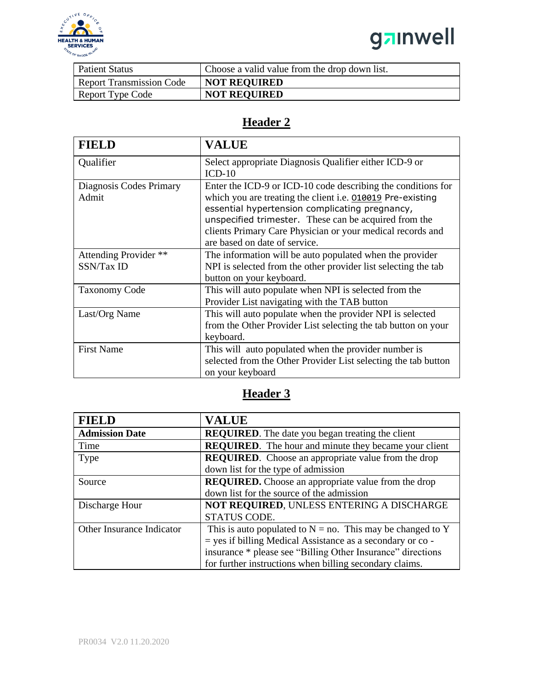

# ganwell

| <b>Patient Status</b>           | Choose a valid value from the drop down list. |
|---------------------------------|-----------------------------------------------|
| <b>Report Transmission Code</b> | <b>NOT REQUIRED</b>                           |
| Report Type Code                | <b>NOT REQUIRED</b>                           |

### **Header 2**

| <b>FIELD</b>                        | <b>VALUE</b>                                                                                                                                                                                                                                                                                                                         |
|-------------------------------------|--------------------------------------------------------------------------------------------------------------------------------------------------------------------------------------------------------------------------------------------------------------------------------------------------------------------------------------|
| Qualifier                           | Select appropriate Diagnosis Qualifier either ICD-9 or<br>$ICD-10$                                                                                                                                                                                                                                                                   |
| Diagnosis Codes Primary<br>Admit    | Enter the ICD-9 or ICD-10 code describing the conditions for<br>which you are treating the client i.e. 010019 Pre-existing<br>essential hypertension complicating pregnancy,<br>unspecified trimester. These can be acquired from the<br>clients Primary Care Physician or your medical records and<br>are based on date of service. |
| Attending Provider **<br>SSN/Tax ID | The information will be auto populated when the provider<br>NPI is selected from the other provider list selecting the tab<br>button on your keyboard.                                                                                                                                                                               |
| <b>Taxonomy Code</b>                | This will auto populate when NPI is selected from the<br>Provider List navigating with the TAB button                                                                                                                                                                                                                                |
| Last/Org Name                       | This will auto populate when the provider NPI is selected<br>from the Other Provider List selecting the tab button on your<br>keyboard.                                                                                                                                                                                              |
| <b>First Name</b>                   | This will auto populated when the provider number is<br>selected from the Other Provider List selecting the tab button<br>on your keyboard                                                                                                                                                                                           |

## **Header 3**

| <b>FIELD</b>              | <b>VALUE</b>                                                  |
|---------------------------|---------------------------------------------------------------|
| <b>Admission Date</b>     | <b>REQUIRED</b> . The date you began treating the client      |
| Time                      | <b>REQUIRED.</b> The hour and minute they became your client  |
| Type                      | <b>REQUIRED.</b> Choose an appropriate value from the drop    |
|                           | down list for the type of admission                           |
| Source                    | <b>REQUIRED.</b> Choose an appropriate value from the drop    |
|                           | down list for the source of the admission                     |
| Discharge Hour            | NOT REQUIRED, UNLESS ENTERING A DISCHARGE                     |
|                           | STATUS CODE.                                                  |
| Other Insurance Indicator | This is auto populated to $N = no$ . This may be changed to Y |
|                           | = yes if billing Medical Assistance as a secondary or co -    |
|                           | insurance * please see "Billing Other Insurance" directions   |
|                           | for further instructions when billing secondary claims.       |
|                           |                                                               |